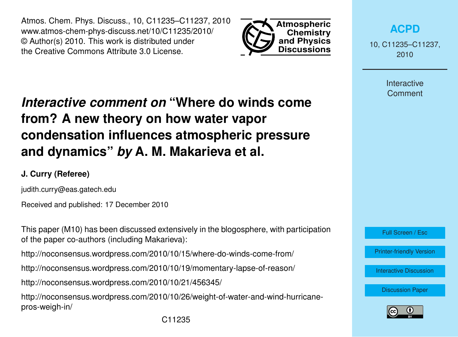Atmos. Chem. Phys. Discuss., 10, C11235–C11237, 2010 www.atmos-chem-phys-discuss.net/10/C11235/2010/ © Author(s) 2010. This work is distributed under the Creative Commons Attribute 3.0 License.



**[ACPD](http://www.atmos-chem-phys-discuss.net)**

10, C11235–C11237, 2010

> **Interactive Comment**

## *Interactive comment on* **"Where do winds come from? A new theory on how water vapor condensation influences atmospheric pressure and dynamics"** *by* **A. M. Makarieva et al.**

## **J. Curry (Referee)**

judith.curry@eas.gatech.edu

Received and published: 17 December 2010

This paper (M10) has been discussed extensively in the blogosphere, with participation of the paper co-authors (including Makarieva):

http://noconsensus.wordpress.com/2010/10/15/where-do-winds-come-from/

http://noconsensus.wordpress.com/2010/10/19/momentary-lapse-of-reason/

http://noconsensus.wordpress.com/2010/10/21/456345/

http://noconsensus.wordpress.com/2010/10/26/weight-of-water-and-wind-hurricanepros-weigh-in/

Full Screen / Esc

[Printer-friendly Version](http://www.atmos-chem-phys-discuss.net/10/C11235/2010/acpd-10-C11235-2010-print.pdf)

[Interactive Discussion](http://www.atmos-chem-phys-discuss.net/10/24015/2010/acpd-10-24015-2010-discussion.html)

[Discussion Paper](http://www.atmos-chem-phys-discuss.net/10/24015/2010/acpd-10-24015-2010.pdf)

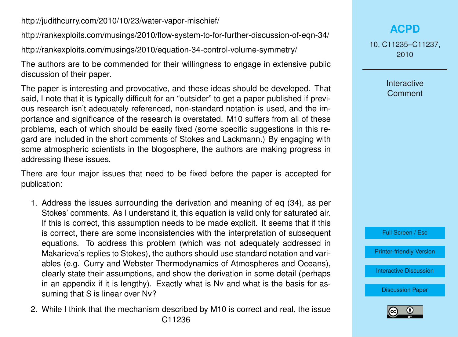http://judithcurry.com/2010/10/23/water-vapor-mischief/

http://rankexploits.com/musings/2010/flow-system-to-for-further-discussion-of-eqn-34/

http://rankexploits.com/musings/2010/equation-34-control-volume-symmetry/

The authors are to be commended for their willingness to engage in extensive public discussion of their paper.

The paper is interesting and provocative, and these ideas should be developed. That said, I note that it is typically difficult for an "outsider" to get a paper published if previous research isn't adequately referenced, non-standard notation is used, and the importance and significance of the research is overstated. M10 suffers from all of these problems, each of which should be easily fixed (some specific suggestions in this regard are included in the short comments of Stokes and Lackmann.) By engaging with some atmospheric scientists in the blogosphere, the authors are making progress in addressing these issues.

There are four major issues that need to be fixed before the paper is accepted for publication:

- 1. Address the issues surrounding the derivation and meaning of eq (34), as per Stokes' comments. As I understand it, this equation is valid only for saturated air. If this is correct, this assumption needs to be made explicit. It seems that if this is correct, there are some inconsistencies with the interpretation of subsequent equations. To address this problem (which was not adequately addressed in Makarieva's replies to Stokes), the authors should use standard notation and variables (e.g. Curry and Webster Thermodynamics of Atmospheres and Oceans), clearly state their assumptions, and show the derivation in some detail (perhaps in an appendix if it is lengthy). Exactly what is Nv and what is the basis for assuming that S is linear over Nv?
- 2. While I think that the mechanism described by M10 is correct and real, the issue C11236

## **[ACPD](http://www.atmos-chem-phys-discuss.net)**

10, C11235–C11237, 2010

> Interactive **Comment**



[Printer-friendly Version](http://www.atmos-chem-phys-discuss.net/10/C11235/2010/acpd-10-C11235-2010-print.pdf)

[Interactive Discussion](http://www.atmos-chem-phys-discuss.net/10/24015/2010/acpd-10-24015-2010-discussion.html)

[Discussion Paper](http://www.atmos-chem-phys-discuss.net/10/24015/2010/acpd-10-24015-2010.pdf)